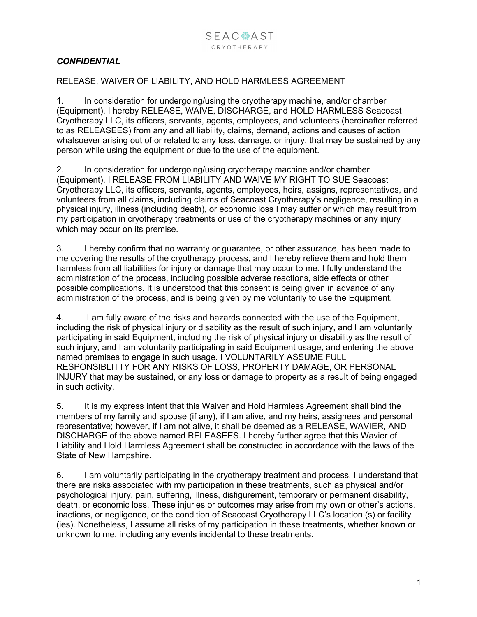## *CONFIDENTIAL*

## RELEASE, WAIVER OF LIABILITY, AND HOLD HARMLESS AGREEMENT

1. In consideration for undergoing/using the cryotherapy machine, and/or chamber (Equipment), I hereby RELEASE, WAIVE, DISCHARGE, and HOLD HARMLESS Seacoast Cryotherapy LLC, its officers, servants, agents, employees, and volunteers (hereinafter referred to as RELEASEES) from any and all liability, claims, demand, actions and causes of action whatsoever arising out of or related to any loss, damage, or injury, that may be sustained by any person while using the equipment or due to the use of the equipment.

2. In consideration for undergoing/using cryotherapy machine and/or chamber (Equipment), I RELEASE FROM LIABILITY AND WAIVE MY RIGHT TO SUE Seacoast Cryotherapy LLC, its officers, servants, agents, employees, heirs, assigns, representatives, and volunteers from all claims, including claims of Seacoast Cryotherapy's negligence, resulting in a physical injury, illness (including death), or economic loss I may suffer or which may result from my participation in cryotherapy treatments or use of the cryotherapy machines or any injury which may occur on its premise.

3. I hereby confirm that no warranty or guarantee, or other assurance, has been made to me covering the results of the cryotherapy process, and I hereby relieve them and hold them harmless from all liabilities for injury or damage that may occur to me. I fully understand the administration of the process, including possible adverse reactions, side effects or other possible complications. It is understood that this consent is being given in advance of any administration of the process, and is being given by me voluntarily to use the Equipment.

4. I am fully aware of the risks and hazards connected with the use of the Equipment, including the risk of physical injury or disability as the result of such injury, and I am voluntarily participating in said Equipment, including the risk of physical injury or disability as the result of such injury, and I am voluntarily participating in said Equipment usage, and entering the above named premises to engage in such usage. I VOLUNTARILY ASSUME FULL RESPONSIBLITTY FOR ANY RISKS OF LOSS, PROPERTY DAMAGE, OR PERSONAL INJURY that may be sustained, or any loss or damage to property as a result of being engaged in such activity.

5. It is my express intent that this Waiver and Hold Harmless Agreement shall bind the members of my family and spouse (if any), if I am alive, and my heirs, assignees and personal representative; however, if I am not alive, it shall be deemed as a RELEASE, WAVIER, AND DISCHARGE of the above named RELEASEES. I hereby further agree that this Wavier of Liability and Hold Harmless Agreement shall be constructed in accordance with the laws of the State of New Hampshire.

6. I am voluntarily participating in the cryotherapy treatment and process. I understand that there are risks associated with my participation in these treatments, such as physical and/or psychological injury, pain, suffering, illness, disfigurement, temporary or permanent disability, death, or economic loss. These injuries or outcomes may arise from my own or other's actions, inactions, or negligence, or the condition of Seacoast Cryotherapy LLC's location (s) or facility (ies). Nonetheless, I assume all risks of my participation in these treatments, whether known or unknown to me, including any events incidental to these treatments.